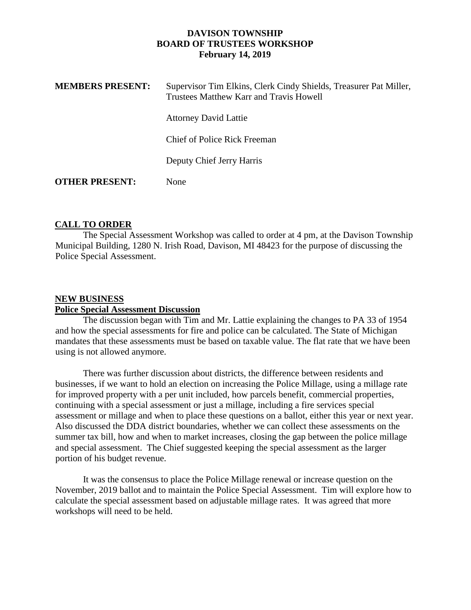## **DAVISON TOWNSHIP BOARD OF TRUSTEES WORKSHOP February 14, 2019**

| <b>MEMBERS PRESENT:</b> | Supervisor Tim Elkins, Clerk Cindy Shields, Treasurer Pat Miller,<br>Trustees Matthew Karr and Travis Howell |
|-------------------------|--------------------------------------------------------------------------------------------------------------|
|                         | <b>Attorney David Lattie</b>                                                                                 |
|                         | Chief of Police Rick Freeman                                                                                 |
|                         | Deputy Chief Jerry Harris                                                                                    |
| <b>OTHER PRESENT:</b>   | <b>None</b>                                                                                                  |

## **CALL TO ORDER**

The Special Assessment Workshop was called to order at 4 pm, at the Davison Township Municipal Building, 1280 N. Irish Road, Davison, MI 48423 for the purpose of discussing the Police Special Assessment.

## **NEW BUSINESS**

#### **Police Special Assessment Discussion**

The discussion began with Tim and Mr. Lattie explaining the changes to PA 33 of 1954 and how the special assessments for fire and police can be calculated. The State of Michigan mandates that these assessments must be based on taxable value. The flat rate that we have been using is not allowed anymore.

There was further discussion about districts, the difference between residents and businesses, if we want to hold an election on increasing the Police Millage, using a millage rate for improved property with a per unit included, how parcels benefit, commercial properties, continuing with a special assessment or just a millage, including a fire services special assessment or millage and when to place these questions on a ballot, either this year or next year. Also discussed the DDA district boundaries, whether we can collect these assessments on the summer tax bill, how and when to market increases, closing the gap between the police millage and special assessment. The Chief suggested keeping the special assessment as the larger portion of his budget revenue.

It was the consensus to place the Police Millage renewal or increase question on the November, 2019 ballot and to maintain the Police Special Assessment. Tim will explore how to calculate the special assessment based on adjustable millage rates. It was agreed that more workshops will need to be held.